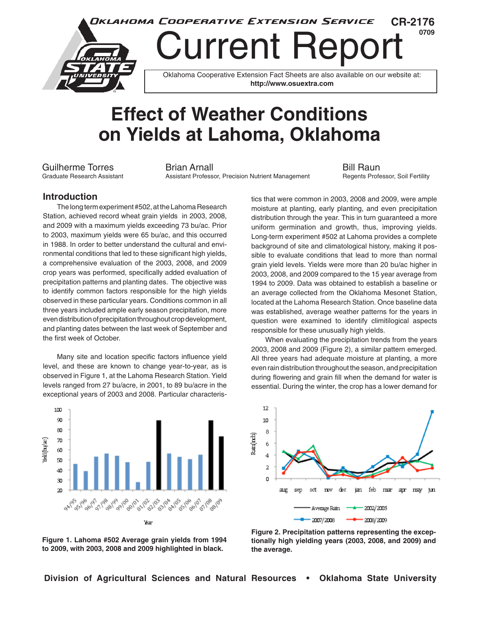

## **Effect of Weather Conditions on Yields at Lahoma, Oklahoma**

Guilherme Torres **Brian Arnall** Bill Raun<br>Graduate Research Assistant **Bill Raun** Assistant Professor, Precision Nutrient Management Regents Professor, Soil Fertility Assistant Professor, Precision Nutrient Management

## **Introduction**

The long term experiment #502, at the Lahoma Research Station, achieved record wheat grain yields in 2003, 2008, and 2009 with a maximum yields exceeding 73 bu/ac. Prior to 2003, maximum yields were 65 bu/ac, and this occurred in 1988. In order to better understand the cultural and environmental conditions that led to these significant high yields, a comprehensive evaluation of the 2003, 2008, and 2009 crop years was performed, specifically added evaluation of precipitation patterns and planting dates. The objective was to identify common factors responsible for the high yields observed in these particular years. Conditions common in all three years included ample early season precipitation, more even distribution of precipitation throughout crop development, and planting dates between the last week of September and the first week of October.

Many site and location specific factors influence yield level, and these are known to change year-to-year, as is observed in Figure 1, at the Lahoma Research Station. Yield levels ranged from 27 bu/acre, in 2001, to 89 bu/acre in the exceptional years of 2003 and 2008. Particular characteris-



**Figure 1. Lahoma #502 Average grain yields from 1994 to 2009, with 2003, 2008 and 2009 highlighted in black.**

tics that were common in 2003, 2008 and 2009, were ample moisture at planting, early planting, and even precipitation distribution through the year. This in turn guaranteed a more uniform germination and growth, thus, improving yields. Long-term experiment #502 at Lahoma provides a complete background of site and climatological history, making it possible to evaluate conditions that lead to more than normal grain yield levels. Yields were more than 20 bu/ac higher in 2003, 2008, and 2009 compared to the 15 year average from 1994 to 2009. Data was obtained to establish a baseline or an average collected from the Oklahoma Mesonet Station, located at the Lahoma Research Station. Once baseline data was established, average weather patterns for the years in question were examined to identify climitilogical aspects responsible for these unusually high yields.

When evaluating the precipitation trends from the years 2003, 2008 and 2009 (Figure 2), a similar pattern emerged. All three years had adequate moisture at planting, a more even rain distribution throughout the season, and precipitation during flowering and grain fill when the demand for water is essential. During the winter, the crop has a lower demand for



**Figure 2. Precipitation patterns representing the exceptionally high yielding years (2003, 2008, and 2009) and the average.**

**Division of Agricultural Sciences and Natural Resources • Oklahoma State University**